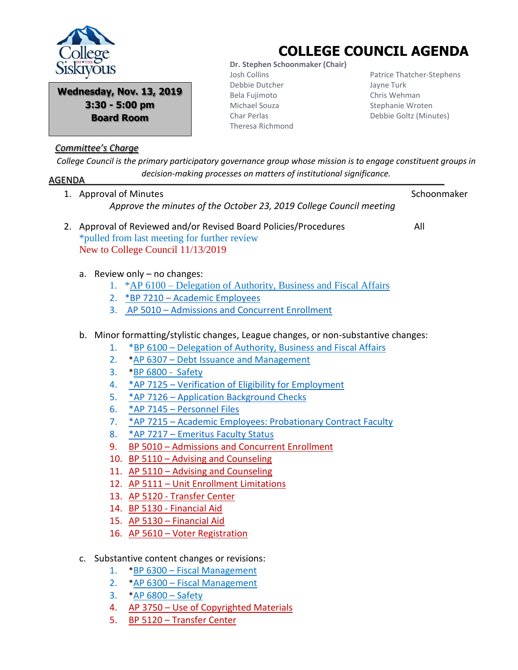

**Wednesday, Nov. 13, 2019 3:30 - 5:00 pm Board Room**

## *Committee's Charge*

## **COLLEGE COUNCIL AGENDA**

 **Dr. Stephen Schoonmaker (Chair)** Josh Collins Debbie Dutcher Bela Fujimoto Michael Souza Char Perlas Theresa Richmond

 Patrice Thatcher-Stephens Jayne Turk Chris Wehman Stephanie Wroten Debbie Goltz (Minutes)

*College Council is the primary participatory governance group whose mission is to engage constituent groups in decision-making processes on matters of institutional significance.* AGENDA

| 1. Approval of Minutes<br>Approve the minutes of the October 23, 2019 College Council meeting                                                                | Schoonmaker                                                                                                                                           |  |  |
|--------------------------------------------------------------------------------------------------------------------------------------------------------------|-------------------------------------------------------------------------------------------------------------------------------------------------------|--|--|
| 2. Approval of Reviewed and/or Revised Board Policies/Procedures<br>All<br>*pulled from last meeting for further review<br>New to College Council 11/13/2019 |                                                                                                                                                       |  |  |
| a. Review only $-$ no changes:                                                                                                                               |                                                                                                                                                       |  |  |
|                                                                                                                                                              | 1. * AP 6100 – Delegation of Authority, Business and Fiscal Affairs                                                                                   |  |  |
|                                                                                                                                                              | 2. *BP 7210 - Academic Employees                                                                                                                      |  |  |
|                                                                                                                                                              | 3. AP 5010 - Admissions and Concurrent Enrollment                                                                                                     |  |  |
| 1.                                                                                                                                                           | b. Minor formatting/stylistic changes, League changes, or non-substantive changes:<br>*BP 6100 - Delegation of Authority, Business and Fiscal Affairs |  |  |
| 2.                                                                                                                                                           | *AP 6307 - Debt Issuance and Management                                                                                                               |  |  |
| 3.                                                                                                                                                           | *BP 6800 - Safety                                                                                                                                     |  |  |
| 4.                                                                                                                                                           | *AP 7125 - Verification of Eligibility for Employment                                                                                                 |  |  |
| 5.                                                                                                                                                           | *AP 7126 - Application Background Checks                                                                                                              |  |  |
| 6.                                                                                                                                                           | *AP 7145 - Personnel Files                                                                                                                            |  |  |
| 7.                                                                                                                                                           | *AP 7215 - Academic Employees: Probationary Contract Faculty                                                                                          |  |  |
| 8.                                                                                                                                                           | *AP 7217 - Emeritus Faculty Status                                                                                                                    |  |  |
| 9.                                                                                                                                                           | BP 5010 - Admissions and Concurrent Enrollment                                                                                                        |  |  |
|                                                                                                                                                              | 10. BP 5110 - Advising and Counseling                                                                                                                 |  |  |
|                                                                                                                                                              | 11. AP 5110 - Advising and Counseling                                                                                                                 |  |  |
|                                                                                                                                                              | 12. AP 5111 - Unit Enrollment Limitations                                                                                                             |  |  |
|                                                                                                                                                              | 13. AP 5120 - Transfer Center                                                                                                                         |  |  |
|                                                                                                                                                              | 14. BP 5130 - Financial Aid                                                                                                                           |  |  |
|                                                                                                                                                              | 15. AP 5130 - Financial Aid                                                                                                                           |  |  |
|                                                                                                                                                              | 16. AP 5610 - Voter Registration                                                                                                                      |  |  |
| c. Substantive content changes or revisions:                                                                                                                 |                                                                                                                                                       |  |  |
| 1.                                                                                                                                                           | *BP 6300 - Fiscal Management                                                                                                                          |  |  |
| 2.                                                                                                                                                           | *AP 6300 - Fiscal Management                                                                                                                          |  |  |
| 3.                                                                                                                                                           | *AP 6800 - Safety                                                                                                                                     |  |  |

- 4. AP 3750 [Use of Copyrighted Materials](file:///C:/Users/dgoltz/OneDrive%20-%20siskiyous.edu/College%20Council%20Working%20Documents/APs%20&%20BPs%20for%20CC%20review/November%2013,%202019%20meeting/AP%203750%20V.pdf)
- 5. BP 5120 [Transfer Center](file:///C:/Users/dgoltz/OneDrive%20-%20siskiyous.edu/College%20Council%20Working%20Documents/APs%20&%20BPs%20for%20CC%20review/November%2013,%202019%20meeting/BP%205120%20IV.pdf)